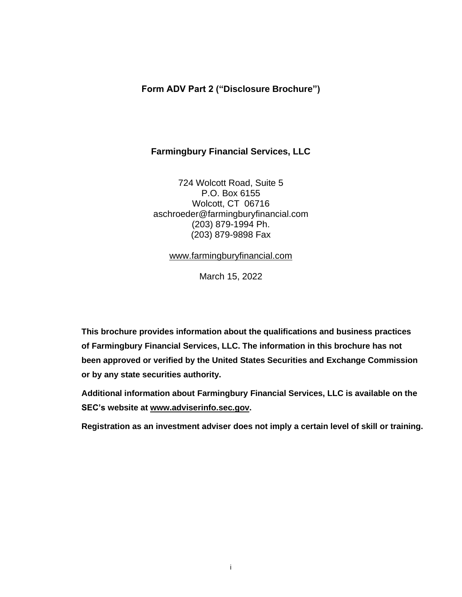# **Form ADV Part 2 ("Disclosure Brochure")**

# **Farmingbury Financial Services, LLC**

724 Wolcott Road, Suite 5 P.O. Box 6155 Wolcott, CT 06716 aschroeder@farmingburyfinancial.com (203) 879-1994 Ph. (203) 879-9898 Fax

[www.farmingburyfinancial.com](http://www.farmingburyfinancial.com/)

March 15, 2022

**This brochure provides information about the qualifications and business practices of Farmingbury Financial Services, LLC. The information in this brochure has not been approved or verified by the United States Securities and Exchange Commission or by any state securities authority.**

**Additional information about Farmingbury Financial Services, LLC is available on the SEC's website at [www.adviserinfo.sec.gov.](http://www.adviserinfo.sec.gov/)**

**Registration as an investment adviser does not imply a certain level of skill or training.**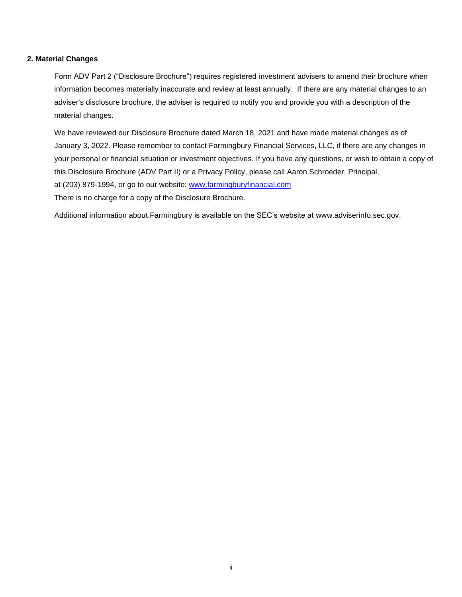# **2. Material Changes**

Form ADV Part 2 ("Disclosure Brochure") requires registered investment advisers to amend their brochure when information becomes materially inaccurate and review at least annually. If there are any material changes to an adviser's disclosure brochure, the adviser is required to notify you and provide you with a description of the material changes.

We have reviewed our Disclosure Brochure dated March 18, 2021 and have made material changes as of January 3, 2022. Please remember to contact Farmingbury Financial Services, LLC, if there are any changes in your personal or financial situation or investment objectives. If you have any questions, or wish to obtain a copy of this Disclosure Brochure (ADV Part II) or a Privacy Policy, please call Aaron Schroeder, Principal, at (203) 879-1994, or go to our website: [www.farmingburyfinancial.com](http://www.farmingburyfinancial.com/) There is no charge for a copy of the Disclosure Brochure.

Additional information about Farmingbury is available on the SEC's website at [www.adviserinfo.sec.gov.](http://www.adviserinfo.sec.gov/)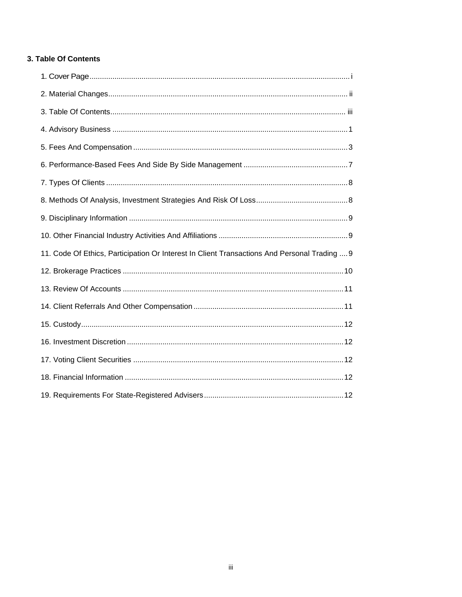# 3. Table Of Contents

| 11. Code Of Ethics, Participation Or Interest In Client Transactions And Personal Trading  9 |
|----------------------------------------------------------------------------------------------|
|                                                                                              |
|                                                                                              |
|                                                                                              |
|                                                                                              |
|                                                                                              |
|                                                                                              |
|                                                                                              |
|                                                                                              |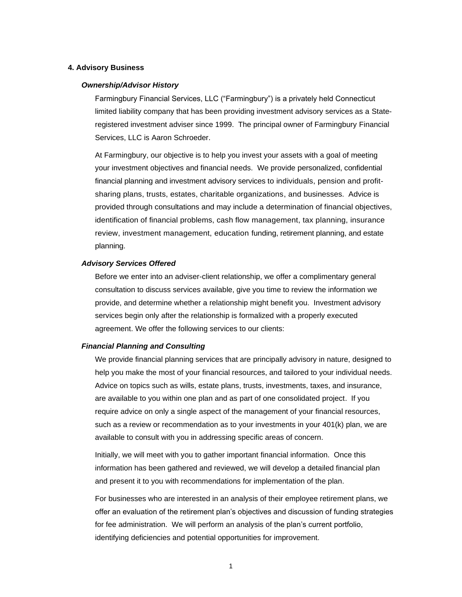## **4. Advisory Business**

#### *Ownership/Advisor History*

Farmingbury Financial Services, LLC ("Farmingbury") is a privately held Connecticut limited liability company that has been providing investment advisory services as a Stateregistered investment adviser since 1999. The principal owner of Farmingbury Financial Services, LLC is Aaron Schroeder.

At Farmingbury, our objective is to help you invest your assets with a goal of meeting your investment objectives and financial needs. We provide personalized, confidential financial planning and investment advisory services to individuals, pension and profitsharing plans, trusts, estates, charitable organizations, and businesses. Advice is provided through consultations and may include a determination of financial objectives, identification of financial problems, cash flow management, tax planning, insurance review, investment management, education funding, retirement planning, and estate planning.

#### *Advisory Services Offered*

Before we enter into an adviser-client relationship, we offer a complimentary general consultation to discuss services available, give you time to review the information we provide, and determine whether a relationship might benefit you. Investment advisory services begin only after the relationship is formalized with a properly executed agreement. We offer the following services to our clients:

#### *Financial Planning and Consulting*

We provide financial planning services that are principally advisory in nature, designed to help you make the most of your financial resources, and tailored to your individual needs. Advice on topics such as wills, estate plans, trusts, investments, taxes, and insurance, are available to you within one plan and as part of one consolidated project. If you require advice on only a single aspect of the management of your financial resources, such as a review or recommendation as to your investments in your 401(k) plan, we are available to consult with you in addressing specific areas of concern.

Initially, we will meet with you to gather important financial information. Once this information has been gathered and reviewed, we will develop a detailed financial plan and present it to you with recommendations for implementation of the plan.

For businesses who are interested in an analysis of their employee retirement plans, we offer an evaluation of the retirement plan's objectives and discussion of funding strategies for fee administration. We will perform an analysis of the plan's current portfolio, identifying deficiencies and potential opportunities for improvement.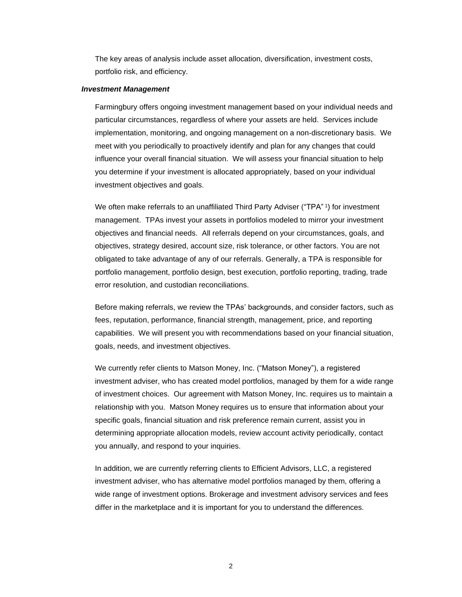The key areas of analysis include asset allocation, diversification, investment costs, portfolio risk, and efficiency.

#### *Investment Management*

Farmingbury offers ongoing investment management based on your individual needs and particular circumstances, regardless of where your assets are held. Services include implementation, monitoring, and ongoing management on a non-discretionary basis. We meet with you periodically to proactively identify and plan for any changes that could influence your overall financial situation. We will assess your financial situation to help you determine if your investment is allocated appropriately, based on your individual investment objectives and goals.

We often make referrals to an unaffiliated Third Party Adviser ("TPA" 1) for investment management. TPAs invest your assets in portfolios modeled to mirror your investment objectives and financial needs. All referrals depend on your circumstances, goals, and objectives, strategy desired, account size, risk tolerance, or other factors. You are not obligated to take advantage of any of our referrals. Generally, a TPA is responsible for portfolio management, portfolio design, best execution, portfolio reporting, trading, trade error resolution, and custodian reconciliations.

Before making referrals, we review the TPAs' backgrounds, and consider factors, such as fees, reputation, performance, financial strength, management, price, and reporting capabilities. We will present you with recommendations based on your financial situation, goals, needs, and investment objectives.

We currently refer clients to Matson Money, Inc. ("Matson Money"), a registered investment adviser, who has created model portfolios, managed by them for a wide range of investment choices. Our agreement with Matson Money, Inc. requires us to maintain a relationship with you. Matson Money requires us to ensure that information about your specific goals, financial situation and risk preference remain current, assist you in determining appropriate allocation models, review account activity periodically, contact you annually, and respond to your inquiries.

In addition, we are currently referring clients to Efficient Advisors, LLC, a registered investment adviser, who has alternative model portfolios managed by them, offering a wide range of investment options. Brokerage and investment advisory services and fees differ in the marketplace and it is important for you to understand the differences.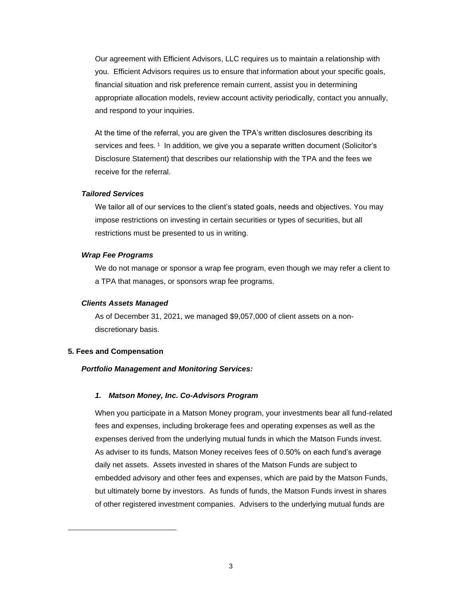Our agreement with Efficient Advisors, LLC requires us to maintain a relationship with you. Efficient Advisors requires us to ensure that information about your specific goals, financial situation and risk preference remain current, assist you in determining appropriate allocation models, review account activity periodically, contact you annually, and respond to your inquiries.

At the time of the referral, you are given the TPA's written disclosures describing its services and fees. <sup>1</sup> In addition, we give you a separate written document (Solicitor's Disclosure Statement) that describes our relationship with the TPA and the fees we receive for the referral.

#### *Tailored Services*

We tailor all of our services to the client's stated goals, needs and objectives. You may impose restrictions on investing in certain securities or types of securities, but all restrictions must be presented to us in writing.

#### *Wrap Fee Programs*

We do not manage or sponsor a wrap fee program, even though we may refer a client to a TPA that manages, or sponsors wrap fee programs.

## *Clients Assets Managed*

As of December 31, 2021, we managed \$9,057,000 of client assets on a nondiscretionary basis.

#### **5. Fees and Compensation**

# *Portfolio Management and Monitoring Services:*

#### *1. Matson Money, Inc. Co-Advisors Program*

When you participate in a Matson Money program, your investments bear all fund-related fees and expenses, including brokerage fees and operating expenses as well as the expenses derived from the underlying mutual funds in which the Matson Funds invest. As adviser to its funds, Matson Money receives fees of 0.50% on each fund's average daily net assets. Assets invested in shares of the Matson Funds are subject to embedded advisory and other fees and expenses, which are paid by the Matson Funds, but ultimately borne by investors. As funds of funds, the Matson Funds invest in shares of other registered investment companies. Advisers to the underlying mutual funds are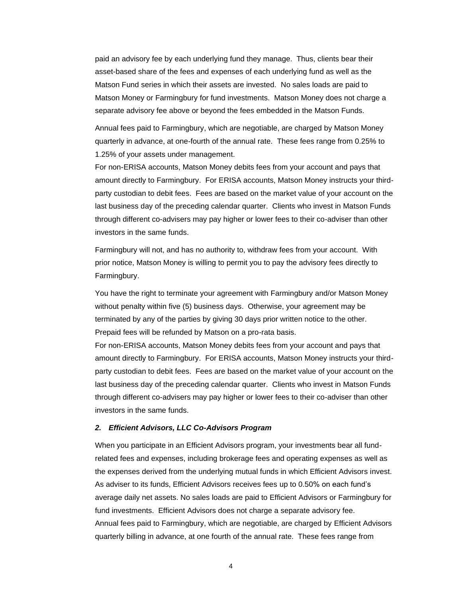paid an advisory fee by each underlying fund they manage. Thus, clients bear their asset-based share of the fees and expenses of each underlying fund as well as the Matson Fund series in which their assets are invested. No sales loads are paid to Matson Money or Farmingbury for fund investments. Matson Money does not charge a separate advisory fee above or beyond the fees embedded in the Matson Funds.

Annual fees paid to Farmingbury, which are negotiable, are charged by Matson Money quarterly in advance, at one-fourth of the annual rate. These fees range from 0.25% to 1.25% of your assets under management.

For non-ERISA accounts, Matson Money debits fees from your account and pays that amount directly to Farmingbury. For ERISA accounts, Matson Money instructs your thirdparty custodian to debit fees. Fees are based on the market value of your account on the last business day of the preceding calendar quarter. Clients who invest in Matson Funds through different co-advisers may pay higher or lower fees to their co-adviser than other investors in the same funds.

Farmingbury will not, and has no authority to, withdraw fees from your account. With prior notice, Matson Money is willing to permit you to pay the advisory fees directly to Farmingbury.

You have the right to terminate your agreement with Farmingbury and/or Matson Money without penalty within five (5) business days. Otherwise, your agreement may be terminated by any of the parties by giving 30 days prior written notice to the other. Prepaid fees will be refunded by Matson on a pro-rata basis.

For non-ERISA accounts, Matson Money debits fees from your account and pays that amount directly to Farmingbury. For ERISA accounts, Matson Money instructs your thirdparty custodian to debit fees. Fees are based on the market value of your account on the last business day of the preceding calendar quarter. Clients who invest in Matson Funds through different co-advisers may pay higher or lower fees to their co-adviser than other investors in the same funds.

### *2. Efficient Advisors, LLC Co-Advisors Program*

When you participate in an Efficient Advisors program, your investments bear all fundrelated fees and expenses, including brokerage fees and operating expenses as well as the expenses derived from the underlying mutual funds in which Efficient Advisors invest. As adviser to its funds, Efficient Advisors receives fees up to 0.50% on each fund's average daily net assets. No sales loads are paid to Efficient Advisors or Farmingbury for fund investments. Efficient Advisors does not charge a separate advisory fee. Annual fees paid to Farmingbury, which are negotiable, are charged by Efficient Advisors quarterly billing in advance, at one fourth of the annual rate. These fees range from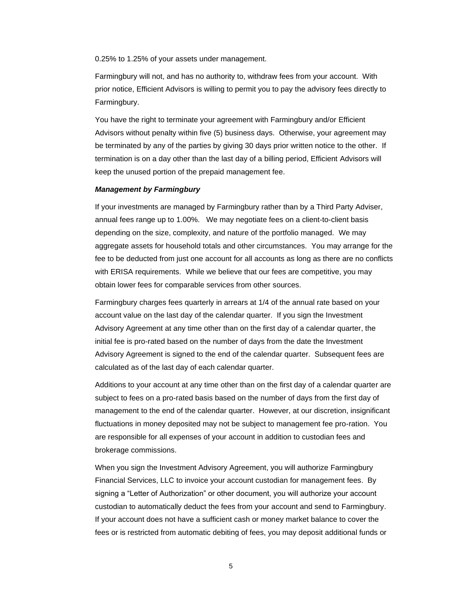0.25% to 1.25% of your assets under management.

Farmingbury will not, and has no authority to, withdraw fees from your account. With prior notice, Efficient Advisors is willing to permit you to pay the advisory fees directly to Farmingbury.

You have the right to terminate your agreement with Farmingbury and/or Efficient Advisors without penalty within five (5) business days. Otherwise, your agreement may be terminated by any of the parties by giving 30 days prior written notice to the other. If termination is on a day other than the last day of a billing period, Efficient Advisors will keep the unused portion of the prepaid management fee.

#### *Management by Farmingbury*

If your investments are managed by Farmingbury rather than by a Third Party Adviser, annual fees range up to 1.00%. We may negotiate fees on a client-to-client basis depending on the size, complexity, and nature of the portfolio managed. We may aggregate assets for household totals and other circumstances. You may arrange for the fee to be deducted from just one account for all accounts as long as there are no conflicts with ERISA requirements. While we believe that our fees are competitive, you may obtain lower fees for comparable services from other sources.

Farmingbury charges fees quarterly in arrears at 1/4 of the annual rate based on your account value on the last day of the calendar quarter. If you sign the Investment Advisory Agreement at any time other than on the first day of a calendar quarter, the initial fee is pro-rated based on the number of days from the date the Investment Advisory Agreement is signed to the end of the calendar quarter. Subsequent fees are calculated as of the last day of each calendar quarter.

Additions to your account at any time other than on the first day of a calendar quarter are subject to fees on a pro-rated basis based on the number of days from the first day of management to the end of the calendar quarter. However, at our discretion, insignificant fluctuations in money deposited may not be subject to management fee pro-ration. You are responsible for all expenses of your account in addition to custodian fees and brokerage commissions.

When you sign the Investment Advisory Agreement, you will authorize Farmingbury Financial Services, LLC to invoice your account custodian for management fees. By signing a "Letter of Authorization" or other document, you will authorize your account custodian to automatically deduct the fees from your account and send to Farmingbury. If your account does not have a sufficient cash or money market balance to cover the fees or is restricted from automatic debiting of fees, you may deposit additional funds or

5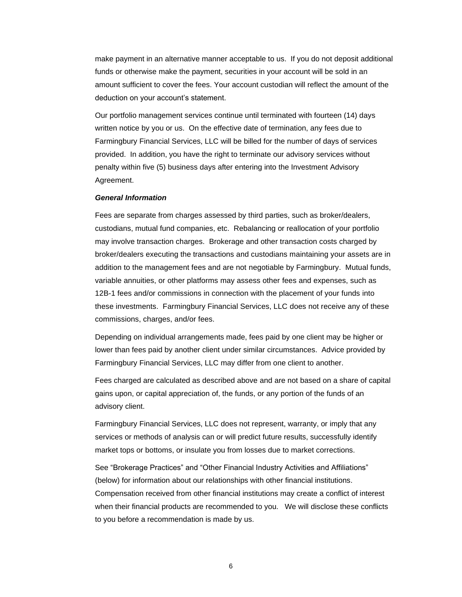make payment in an alternative manner acceptable to us. If you do not deposit additional funds or otherwise make the payment, securities in your account will be sold in an amount sufficient to cover the fees. Your account custodian will reflect the amount of the deduction on your account's statement.

Our portfolio management services continue until terminated with fourteen (14) days written notice by you or us. On the effective date of termination, any fees due to Farmingbury Financial Services, LLC will be billed for the number of days of services provided. In addition, you have the right to terminate our advisory services without penalty within five (5) business days after entering into the Investment Advisory Agreement.

#### *General Information*

Fees are separate from charges assessed by third parties, such as broker/dealers, custodians, mutual fund companies, etc. Rebalancing or reallocation of your portfolio may involve transaction charges. Brokerage and other transaction costs charged by broker/dealers executing the transactions and custodians maintaining your assets are in addition to the management fees and are not negotiable by Farmingbury. Mutual funds, variable annuities, or other platforms may assess other fees and expenses, such as 12B-1 fees and/or commissions in connection with the placement of your funds into these investments. Farmingbury Financial Services, LLC does not receive any of these commissions, charges, and/or fees.

Depending on individual arrangements made, fees paid by one client may be higher or lower than fees paid by another client under similar circumstances. Advice provided by Farmingbury Financial Services, LLC may differ from one client to another.

Fees charged are calculated as described above and are not based on a share of capital gains upon, or capital appreciation of, the funds, or any portion of the funds of an advisory client.

Farmingbury Financial Services, LLC does not represent, warranty, or imply that any services or methods of analysis can or will predict future results, successfully identify market tops or bottoms, or insulate you from losses due to market corrections.

See "Brokerage Practices" and "Other Financial Industry Activities and Affiliations" (below) for information about our relationships with other financial institutions. Compensation received from other financial institutions may create a conflict of interest when their financial products are recommended to you. We will disclose these conflicts to you before a recommendation is made by us.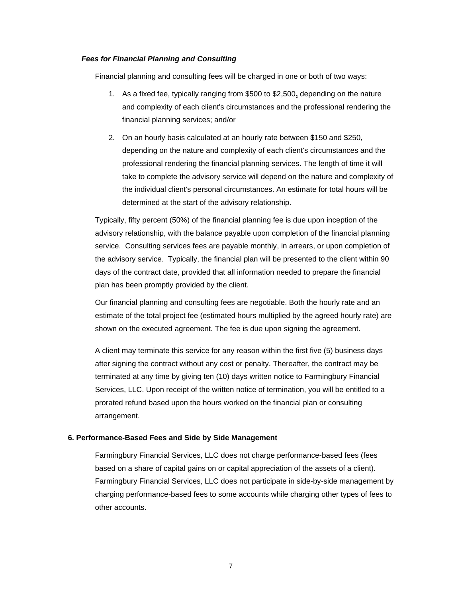### *Fees for Financial Planning and Consulting*

Financial planning and consulting fees will be charged in one or both of two ways:

- 1. As a fixed fee, typically ranging from \$500 to \$2,500**,** depending on the nature and complexity of each client's circumstances and the professional rendering the financial planning services; and/or
- 2. On an hourly basis calculated at an hourly rate between \$150 and \$250, depending on the nature and complexity of each client's circumstances and the professional rendering the financial planning services. The length of time it will take to complete the advisory service will depend on the nature and complexity of the individual client's personal circumstances. An estimate for total hours will be determined at the start of the advisory relationship.

Typically, fifty percent (50%) of the financial planning fee is due upon inception of the advisory relationship, with the balance payable upon completion of the financial planning service. Consulting services fees are payable monthly, in arrears, or upon completion of the advisory service. Typically, the financial plan will be presented to the client within 90 days of the contract date, provided that all information needed to prepare the financial plan has been promptly provided by the client.

Our financial planning and consulting fees are negotiable. Both the hourly rate and an estimate of the total project fee (estimated hours multiplied by the agreed hourly rate) are shown on the executed agreement. The fee is due upon signing the agreement.

A client may terminate this service for any reason within the first five (5) business days after signing the contract without any cost or penalty. Thereafter, the contract may be terminated at any time by giving ten (10) days written notice to Farmingbury Financial Services, LLC. Upon receipt of the written notice of termination, you will be entitled to a prorated refund based upon the hours worked on the financial plan or consulting arrangement.

## **6. Performance-Based Fees and Side by Side Management**

Farmingbury Financial Services, LLC does not charge performance-based fees (fees based on a share of capital gains on or capital appreciation of the assets of a client). Farmingbury Financial Services, LLC does not participate in side-by-side management by charging performance-based fees to some accounts while charging other types of fees to other accounts.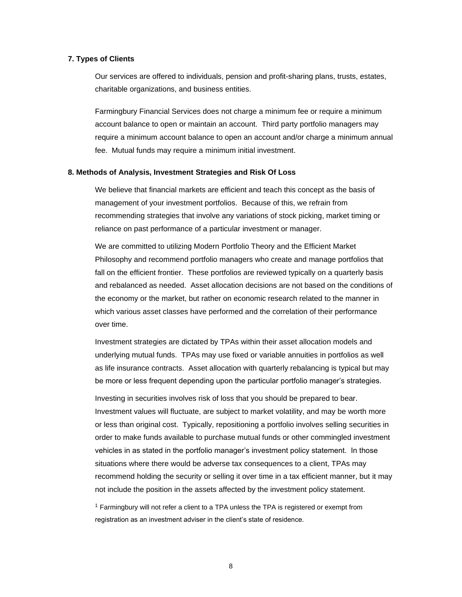## **7. Types of Clients**

Our services are offered to individuals, pension and profit-sharing plans, trusts, estates, charitable organizations, and business entities.

Farmingbury Financial Services does not charge a minimum fee or require a minimum account balance to open or maintain an account. Third party portfolio managers may require a minimum account balance to open an account and/or charge a minimum annual fee. Mutual funds may require a minimum initial investment.

## **8. Methods of Analysis, Investment Strategies and Risk Of Loss**

We believe that financial markets are efficient and teach this concept as the basis of management of your investment portfolios. Because of this, we refrain from recommending strategies that involve any variations of stock picking, market timing or reliance on past performance of a particular investment or manager.

We are committed to utilizing Modern Portfolio Theory and the Efficient Market Philosophy and recommend portfolio managers who create and manage portfolios that fall on the efficient frontier. These portfolios are reviewed typically on a quarterly basis and rebalanced as needed. Asset allocation decisions are not based on the conditions of the economy or the market, but rather on economic research related to the manner in which various asset classes have performed and the correlation of their performance over time.

Investment strategies are dictated by TPAs within their asset allocation models and underlying mutual funds. TPAs may use fixed or variable annuities in portfolios as well as life insurance contracts. Asset allocation with quarterly rebalancing is typical but may be more or less frequent depending upon the particular portfolio manager's strategies.

Investing in securities involves risk of loss that you should be prepared to bear. Investment values will fluctuate, are subject to market volatility, and may be worth more or less than original cost. Typically, repositioning a portfolio involves selling securities in order to make funds available to purchase mutual funds or other commingled investment vehicles in as stated in the portfolio manager's investment policy statement. In those situations where there would be adverse tax consequences to a client, TPAs may recommend holding the security or selling it over time in a tax efficient manner, but it may not include the position in the assets affected by the investment policy statement.

<sup>1</sup> Farmingbury will not refer a client to a TPA unless the TPA is registered or exempt from registration as an investment adviser in the client's state of residence.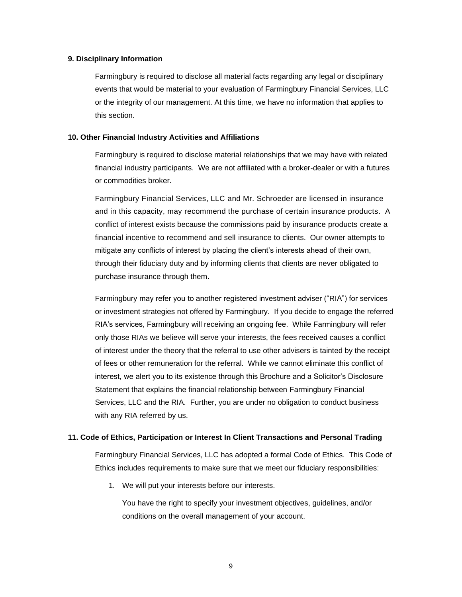#### **9. Disciplinary Information**

Farmingbury is required to disclose all material facts regarding any legal or disciplinary events that would be material to your evaluation of Farmingbury Financial Services, LLC or the integrity of our management. At this time, we have no information that applies to this section.

## **10. Other Financial Industry Activities and Affiliations**

Farmingbury is required to disclose material relationships that we may have with related financial industry participants. We are not affiliated with a broker-dealer or with a futures or commodities broker.

Farmingbury Financial Services, LLC and Mr. Schroeder are licensed in insurance and in this capacity, may recommend the purchase of certain insurance products. A conflict of interest exists because the commissions paid by insurance products create a financial incentive to recommend and sell insurance to clients. Our owner attempts to mitigate any conflicts of interest by placing the client's interests ahead of their own, through their fiduciary duty and by informing clients that clients are never obligated to purchase insurance through them.

Farmingbury may refer you to another registered investment adviser ("RIA") for services or investment strategies not offered by Farmingbury. If you decide to engage the referred RIA's services, Farmingbury will receiving an ongoing fee. While Farmingbury will refer only those RIAs we believe will serve your interests, the fees received causes a conflict of interest under the theory that the referral to use other advisers is tainted by the receipt of fees or other remuneration for the referral. While we cannot eliminate this conflict of interest, we alert you to its existence through this Brochure and a Solicitor's Disclosure Statement that explains the financial relationship between Farmingbury Financial Services, LLC and the RIA. Further, you are under no obligation to conduct business with any RIA referred by us.

## **11. Code of Ethics, Participation or Interest In Client Transactions and Personal Trading**

Farmingbury Financial Services, LLC has adopted a formal Code of Ethics. This Code of Ethics includes requirements to make sure that we meet our fiduciary responsibilities:

1. We will put your interests before our interests.

You have the right to specify your investment objectives, guidelines, and/or conditions on the overall management of your account.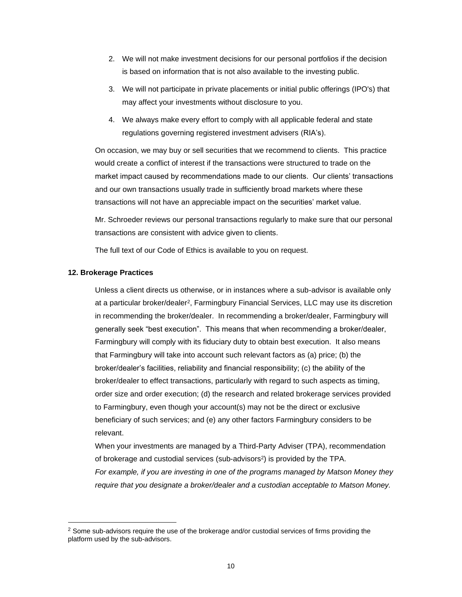- 2. We will not make investment decisions for our personal portfolios if the decision is based on information that is not also available to the investing public.
- 3. We will not participate in private placements or initial public offerings (IPO's) that may affect your investments without disclosure to you.
- 4. We always make every effort to comply with all applicable federal and state regulations governing registered investment advisers (RIA's).

On occasion, we may buy or sell securities that we recommend to clients. This practice would create a conflict of interest if the transactions were structured to trade on the market impact caused by recommendations made to our clients. Our clients' transactions and our own transactions usually trade in sufficiently broad markets where these transactions will not have an appreciable impact on the securities' market value.

Mr. Schroeder reviews our personal transactions regularly to make sure that our personal transactions are consistent with advice given to clients.

The full text of our Code of Ethics is available to you on request.

## **12. Brokerage Practices**

Unless a client directs us otherwise, or in instances where a sub-advisor is available only at a particular broker/dealer<sup>2</sup> , Farmingbury Financial Services, LLC may use its discretion in recommending the broker/dealer. In recommending a broker/dealer, Farmingbury will generally seek "best execution". This means that when recommending a broker/dealer, Farmingbury will comply with its fiduciary duty to obtain best execution. It also means that Farmingbury will take into account such relevant factors as (a) price; (b) the broker/dealer's facilities, reliability and financial responsibility; (c) the ability of the broker/dealer to effect transactions, particularly with regard to such aspects as timing, order size and order execution; (d) the research and related brokerage services provided to Farmingbury, even though your account(s) may not be the direct or exclusive beneficiary of such services; and (e) any other factors Farmingbury considers to be relevant.

When your investments are managed by a Third-Party Adviser (TPA), recommendation of brokerage and custodial services (sub-advisors<sup>2</sup>) is provided by the TPA. *For example, if you are investing in one of the programs managed by Matson Money they require that you designate a broker/dealer and a custodian acceptable to Matson Money.*

<sup>&</sup>lt;sup>2</sup> Some sub-advisors require the use of the brokerage and/or custodial services of firms providing the platform used by the sub-advisors.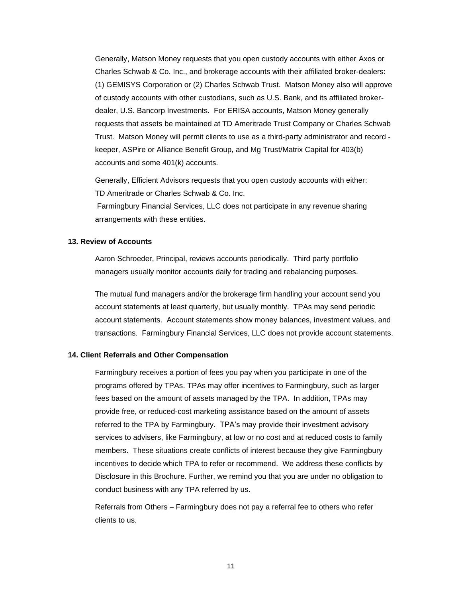Generally, Matson Money requests that you open custody accounts with either Axos or Charles Schwab & Co. Inc., and brokerage accounts with their affiliated broker-dealers: (1) GEMISYS Corporation or (2) Charles Schwab Trust. Matson Money also will approve of custody accounts with other custodians, such as U.S. Bank, and its affiliated brokerdealer, U.S. Bancorp Investments. For ERISA accounts, Matson Money generally requests that assets be maintained at TD Ameritrade Trust Company or Charles Schwab Trust. Matson Money will permit clients to use as a third-party administrator and record keeper, ASPire or Alliance Benefit Group, and Mg Trust/Matrix Capital for 403(b) accounts and some 401(k) accounts.

Generally, Efficient Advisors requests that you open custody accounts with either: TD Ameritrade or Charles Schwab & Co. Inc.

Farmingbury Financial Services, LLC does not participate in any revenue sharing arrangements with these entities.

# **13. Review of Accounts**

Aaron Schroeder, Principal, reviews accounts periodically. Third party portfolio managers usually monitor accounts daily for trading and rebalancing purposes.

The mutual fund managers and/or the brokerage firm handling your account send you account statements at least quarterly, but usually monthly. TPAs may send periodic account statements. Account statements show money balances, investment values, and transactions. Farmingbury Financial Services, LLC does not provide account statements.

## **14. Client Referrals and Other Compensation**

Farmingbury receives a portion of fees you pay when you participate in one of the programs offered by TPAs. TPAs may offer incentives to Farmingbury, such as larger fees based on the amount of assets managed by the TPA. In addition, TPAs may provide free, or reduced-cost marketing assistance based on the amount of assets referred to the TPA by Farmingbury. TPA's may provide their investment advisory services to advisers, like Farmingbury, at low or no cost and at reduced costs to family members. These situations create conflicts of interest because they give Farmingbury incentives to decide which TPA to refer or recommend. We address these conflicts by Disclosure in this Brochure. Further, we remind you that you are under no obligation to conduct business with any TPA referred by us.

Referrals from Others – Farmingbury does not pay a referral fee to others who refer clients to us.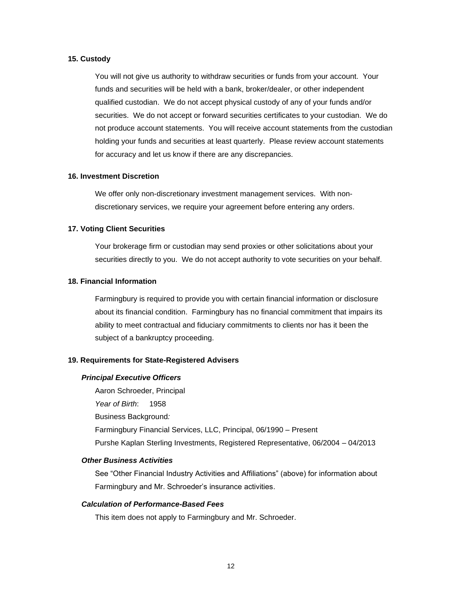## **15. Custody**

You will not give us authority to withdraw securities or funds from your account. Your funds and securities will be held with a bank, broker/dealer, or other independent qualified custodian. We do not accept physical custody of any of your funds and/or securities. We do not accept or forward securities certificates to your custodian. We do not produce account statements. You will receive account statements from the custodian holding your funds and securities at least quarterly. Please review account statements for accuracy and let us know if there are any discrepancies.

### **16. Investment Discretion**

We offer only non-discretionary investment management services. With nondiscretionary services, we require your agreement before entering any orders.

## **17. Voting Client Securities**

Your brokerage firm or custodian may send proxies or other solicitations about your securities directly to you. We do not accept authority to vote securities on your behalf.

### **18. Financial Information**

Farmingbury is required to provide you with certain financial information or disclosure about its financial condition. Farmingbury has no financial commitment that impairs its ability to meet contractual and fiduciary commitments to clients nor has it been the subject of a bankruptcy proceeding.

## **19. Requirements for State-Registered Advisers**

#### *Principal Executive Officers*

Aaron Schroeder, Principal *Year of Birth*: 1958 Business Background*:* Farmingbury Financial Services, LLC, Principal, 06/1990 – Present Purshe Kaplan Sterling Investments, Registered Representative, 06/2004 – 04/2013

#### *Other Business Activities*

See "Other Financial Industry Activities and Affiliations" (above) for information about Farmingbury and Mr. Schroeder's insurance activities.

### *Calculation of Performance-Based Fees*

This item does not apply to Farmingbury and Mr. Schroeder.